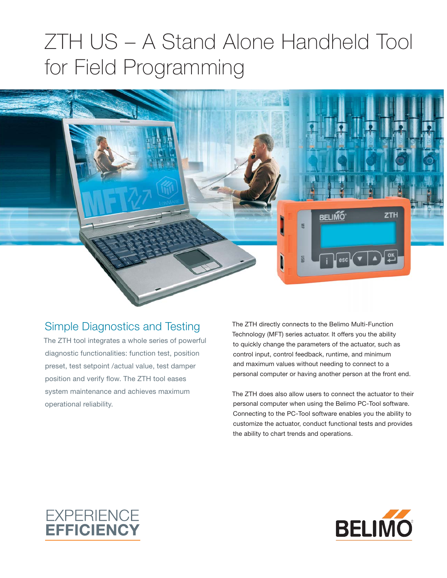## ZTH US – A Stand Alone Handheld Tool for Field Programming



## Simple Diagnostics and Testing

The ZTH tool integrates a whole series of powerful diagnostic functionalities: function test, position preset, test setpoint /actual value, test damper position and verify flow. The ZTH tool eases system maintenance and achieves maximum operational reliability.

The ZTH directly connects to the Belimo Multi-Function Technology (MFT) series actuator. It offers you the ability to quickly change the parameters of the actuator, such as control input, control feedback, runtime, and minimum and maximum values without needing to connect to a personal computer or having another person at the front end.

The ZTH does also allow users to connect the actuator to their personal computer when using the Belimo PC-Tool software. Connecting to the PC-Tool software enables you the ability to customize the actuator, conduct functional tests and provides the ability to chart trends and operations.